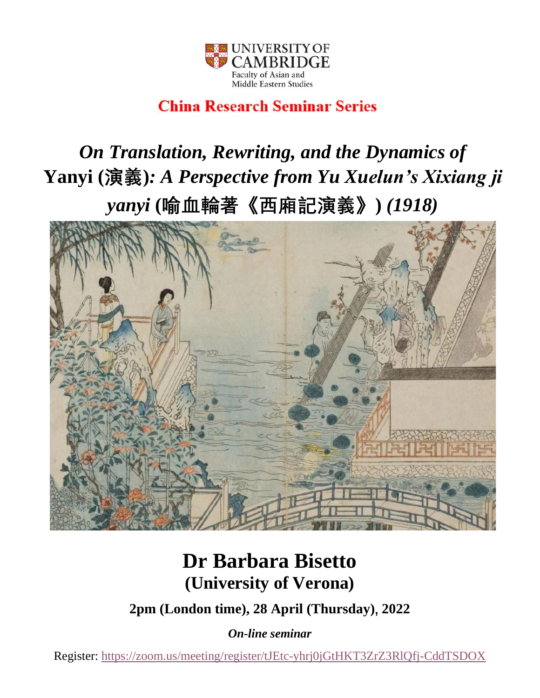

### **China Research Seminar Series**

# *On Translation, Rewriting, and the Dynamics of*  **Yanyi (演義)***: A Perspective from Yu Xuelun's Xixiang ji yanyi* **(喻血輪著《西廂記演義》)** *(1918)*



## **Dr Barbara Bisetto (University of Verona)**

**2pm (London time), 28 April (Thursday), 2022**

*On-line seminar*

Register:<https://zoom.us/meeting/register/tJEtc-yhrj0jGtHKT3ZrZ3RlQfj-CddTSDOX>